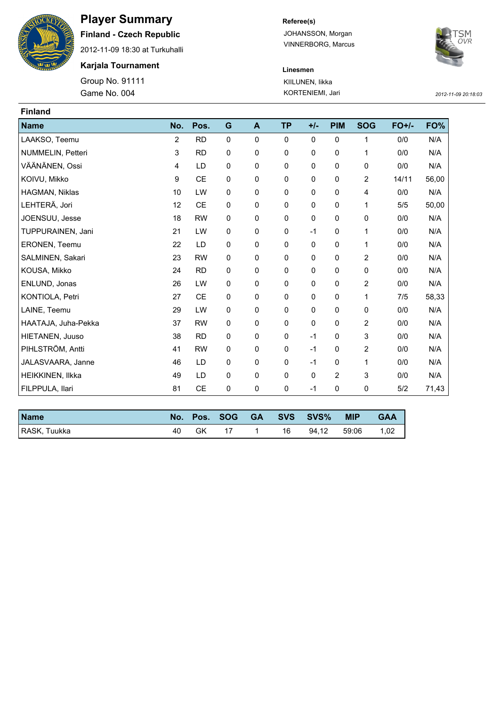

## **Player Summary**

**Finland - Czech Republic**

2012-11-09 18:30 at Turkuhalli

**Karjala Tournament**

Game No. 004 KORTENIEMI, Jari *2012-11-09 20:18:03* Group No. 91111

**Referee(s)**

JOHANSSON, Morgan VINNERBORG, Marcus



**Linesmen** KIILUNEN, Iikka

| <b>Finland</b>      |     |           |             |              |           |              |              |                |         |       |
|---------------------|-----|-----------|-------------|--------------|-----------|--------------|--------------|----------------|---------|-------|
| <b>Name</b>         | No. | Pos.      | G           | $\mathbf{A}$ | <b>TP</b> | $+/-$        | <b>PIM</b>   | <b>SOG</b>     | $FO+/-$ | FO%   |
| LAAKSO, Teemu       | 2   | <b>RD</b> | $\mathbf 0$ | $\mathbf 0$  | 0         | 0            | 0            | 1              | 0/0     | N/A   |
| NUMMELIN, Petteri   | 3   | <b>RD</b> | 0           | 0            | 0         | 0            | 0            | 1              | 0/0     | N/A   |
| VÄÄNÄNEN, Ossi      | 4   | LD        | 0           | $\mathbf 0$  | 0         | 0            | 0            | 0              | 0/0     | N/A   |
| KOIVU, Mikko        | 9   | <b>CE</b> | 0           | 0            | 0         | 0            | 0            | 2              | 14/11   | 56,00 |
| HAGMAN, Niklas      | 10  | LW        | 0           | $\mathbf 0$  | 0         | 0            | 0            | 4              | 0/0     | N/A   |
| LEHTERÄ, Jori       | 12  | <b>CE</b> | 0           | $\mathbf 0$  | 0         | 0            | 0            | 1              | 5/5     | 50,00 |
| JOENSUU, Jesse      | 18  | <b>RW</b> | 0           | 0            | 0         | 0            | 0            | 0              | 0/0     | N/A   |
| TUPPURAINEN, Jani   | 21  | LW        | 0           | $\mathbf 0$  | 0         | $-1$         | 0            | 1              | 0/0     | N/A   |
| ERONEN, Teemu       | 22  | LD        | 0           | $\mathbf 0$  | 0         | $\mathbf{0}$ | 0            | 1              | 0/0     | N/A   |
| SALMINEN, Sakari    | 23  | <b>RW</b> | 0           | 0            | 0         | 0            | 0            | $\overline{2}$ | 0/0     | N/A   |
| KOUSA, Mikko        | 24  | <b>RD</b> | 0           | $\mathbf{0}$ | 0         | 0            | 0            | 0              | 0/0     | N/A   |
| ENLUND, Jonas       | 26  | LW        | 0           | $\mathbf 0$  | 0         | 0            | 0            | 2              | 0/0     | N/A   |
| KONTIOLA, Petri     | 27  | <b>CE</b> | 0           | 0            | 0         | 0            | 0            | 1              | 7/5     | 58,33 |
| LAINE, Teemu        | 29  | LW        | 0           | $\mathbf 0$  | 0         | 0            | 0            | 0              | 0/0     | N/A   |
| HAATAJA, Juha-Pekka | 37  | <b>RW</b> | 0           | $\mathbf 0$  | 0         | 0            | 0            | 2              | 0/0     | N/A   |
| HIETANEN, Juuso     | 38  | <b>RD</b> | 0           | $\mathbf 0$  | 0         | $-1$         | 0            | 3              | 0/0     | N/A   |
| PIHLSTRÖM, Antti    | 41  | <b>RW</b> | 0           | $\mathbf 0$  | 0         | $-1$         | 0            | 2              | 0/0     | N/A   |
| JALASVAARA, Janne   | 46  | LD        | 0           | 0            | 0         | $-1$         | 0            | 1              | 0/0     | N/A   |
| HEIKKINEN, Ilkka    | 49  | LD        | 0           | $\mathbf 0$  | 0         | $\mathbf 0$  | $\mathbf{2}$ | 3              | 0/0     | N/A   |
| FILPPULA, Ilari     | 81  | <b>CE</b> | 0           | $\mathbf 0$  | 0         | $-1$         | 0            | 0              | 5/2     | 71,43 |

| <b>Name</b>  | No. | Pos. | SOG – | <b>GA</b> |    | SVS SVS% | <b>MIP</b> | <b>GAA</b> |
|--------------|-----|------|-------|-----------|----|----------|------------|------------|
| RASK, Tuukka | 40  | GK   |       |           | 16 | 94.12    | 59:06      | 1,02       |